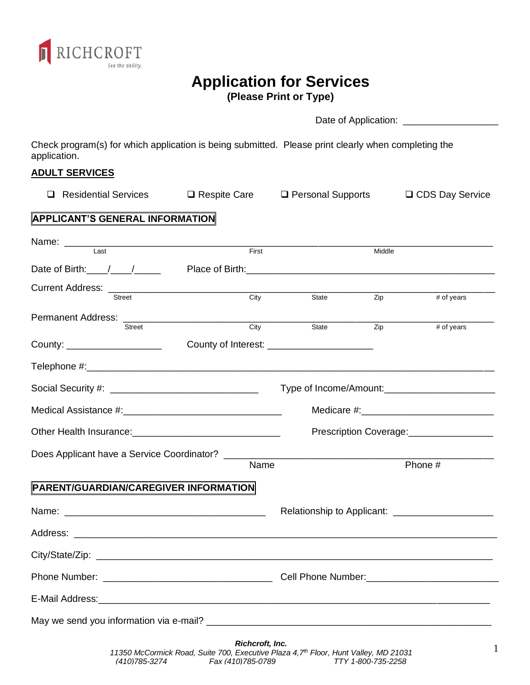

# **Application for Services**

**(Please Print or Type)**

|                                                                                                                     |                                              | (Fiedse Fillit of Type)                                                    |        |                                                                                                                                                                                                                                |
|---------------------------------------------------------------------------------------------------------------------|----------------------------------------------|----------------------------------------------------------------------------|--------|--------------------------------------------------------------------------------------------------------------------------------------------------------------------------------------------------------------------------------|
|                                                                                                                     |                                              |                                                                            |        |                                                                                                                                                                                                                                |
| Check program(s) for which application is being submitted. Please print clearly when completing the<br>application. |                                              |                                                                            |        |                                                                                                                                                                                                                                |
| <b>ADULT SERVICES</b>                                                                                               |                                              |                                                                            |        |                                                                                                                                                                                                                                |
| <b>Residential Services</b><br>⊔                                                                                    | $\Box$ Respite Care $\Box$ Personal Supports |                                                                            |        | □ CDS Day Service                                                                                                                                                                                                              |
| <b>APPLICANT'S GENERAL INFORMATION</b>                                                                              |                                              |                                                                            |        |                                                                                                                                                                                                                                |
| Name: Last                                                                                                          | First                                        |                                                                            | Middle |                                                                                                                                                                                                                                |
| Date of Birth: $\frac{1}{\sqrt{1-\frac{1}{2}}}\$                                                                    |                                              |                                                                            |        |                                                                                                                                                                                                                                |
|                                                                                                                     |                                              |                                                                            |        |                                                                                                                                                                                                                                |
|                                                                                                                     | $\overline{C}$ ity                           | State                                                                      | Zip    | # of years                                                                                                                                                                                                                     |
| <b>Street</b>                                                                                                       | City                                         | State                                                                      | Zip    | # of years                                                                                                                                                                                                                     |
| County: _____________________                                                                                       |                                              |                                                                            |        |                                                                                                                                                                                                                                |
|                                                                                                                     |                                              |                                                                            |        |                                                                                                                                                                                                                                |
|                                                                                                                     |                                              |                                                                            |        |                                                                                                                                                                                                                                |
|                                                                                                                     |                                              |                                                                            |        |                                                                                                                                                                                                                                |
| Other Health Insurance: Change and China and China and China and China and China and China and China and China      |                                              |                                                                            |        | Prescription Coverage:<br><u>[</u> [11][12] Prescription Coverage:                                                                                                                                                             |
| Does Applicant have a Service Coordinator? ____                                                                     |                                              | the control of the control of the control of the control of the control of |        |                                                                                                                                                                                                                                |
|                                                                                                                     | Name                                         |                                                                            |        | Phone #                                                                                                                                                                                                                        |
| PARENT/GUARDIAN/CAREGIVER INFORMATION                                                                               |                                              |                                                                            |        |                                                                                                                                                                                                                                |
|                                                                                                                     |                                              |                                                                            |        | Relationship to Applicant: ______________________                                                                                                                                                                              |
|                                                                                                                     |                                              |                                                                            |        |                                                                                                                                                                                                                                |
|                                                                                                                     |                                              |                                                                            |        |                                                                                                                                                                                                                                |
|                                                                                                                     |                                              |                                                                            |        |                                                                                                                                                                                                                                |
|                                                                                                                     |                                              |                                                                            |        |                                                                                                                                                                                                                                |
|                                                                                                                     |                                              |                                                                            |        |                                                                                                                                                                                                                                |
|                                                                                                                     |                                              |                                                                            |        | Richcroft, Inc. 2008. The contract of the contract of the contract of the contract of the contract of the contract of the contract of the contract of the contract of the contract of the contract of the contract of the cont |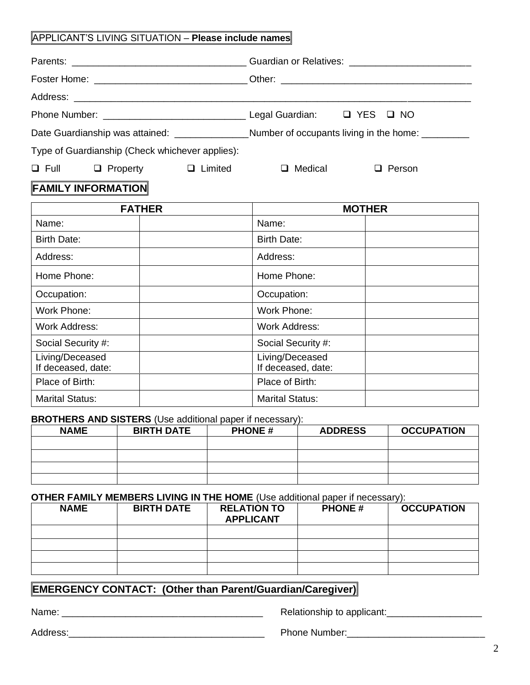#### APPLICANT'S LIVING SITUATION – **Please include names**

|  |                                                 | Guardian or Relatives: _________________________                                                    |         |  |        |
|--|-------------------------------------------------|-----------------------------------------------------------------------------------------------------|---------|--|--------|
|  |                                                 | Foster Home: _______________________________Other: _____________________________                    |         |  |        |
|  |                                                 |                                                                                                     |         |  |        |
|  |                                                 |                                                                                                     |         |  |        |
|  |                                                 | Date Guardianship was attained: __________________Number of occupants living in the home: _________ |         |  |        |
|  | Type of Guardianship (Check whichever applies): |                                                                                                     |         |  |        |
|  | $\Box$ Full $\Box$ Property                     | Limited                                                                                             | Medical |  | Person |

## **FAMILY INFORMATION**

| <b>FATHER</b>                         |  | <b>MOTHER</b>                         |  |
|---------------------------------------|--|---------------------------------------|--|
| Name:                                 |  | Name:                                 |  |
| Birth Date:                           |  | <b>Birth Date:</b>                    |  |
| Address:                              |  | Address:                              |  |
| Home Phone:                           |  | Home Phone:                           |  |
| Occupation:                           |  | Occupation:                           |  |
| Work Phone:                           |  | Work Phone:                           |  |
| <b>Work Address:</b>                  |  | <b>Work Address:</b>                  |  |
| Social Security #:                    |  | Social Security #:                    |  |
| Living/Deceased<br>If deceased, date: |  | Living/Deceased<br>If deceased, date: |  |
| Place of Birth:                       |  | Place of Birth:                       |  |
| <b>Marital Status:</b>                |  | <b>Marital Status:</b>                |  |

#### **BROTHERS AND SISTERS** (Use additional paper if necessary):

| <b>NAME</b> | <b>BIRTH DATE</b> | <b>PHONE#</b> | <b>ADDRESS</b> | <b>OCCUPATION</b> |
|-------------|-------------------|---------------|----------------|-------------------|
|             |                   |               |                |                   |
|             |                   |               |                |                   |
|             |                   |               |                |                   |
|             |                   |               |                |                   |

#### **OTHER FAMILY MEMBERS LIVING IN THE HOME** (Use additional paper if necessary):

| <b>NAME</b> | <b>BIRTH DATE</b> | <b>RELATION TO</b><br><b>APPLICANT</b> | <b>PHONE#</b> | <b>OCCUPATION</b> |
|-------------|-------------------|----------------------------------------|---------------|-------------------|
|             |                   |                                        |               |                   |
|             |                   |                                        |               |                   |
|             |                   |                                        |               |                   |
|             |                   |                                        |               |                   |

## **EMERGENCY CONTACT: (Other than Parent/Guardian/Caregiver).**

Name: \_\_\_\_\_\_\_\_\_\_\_\_\_\_\_\_\_\_\_\_\_\_\_\_\_\_\_\_\_\_\_\_\_\_\_\_\_\_ Relationship to applicant:\_\_\_\_\_\_\_\_\_\_\_\_\_\_\_\_\_\_

Address:\_\_\_\_\_\_\_\_\_\_\_\_\_\_\_\_\_\_\_\_\_\_\_\_\_\_\_\_\_\_\_\_\_\_\_\_\_ Phone Number:\_\_\_\_\_\_\_\_\_\_\_\_\_\_\_\_\_\_\_\_\_\_\_\_\_\_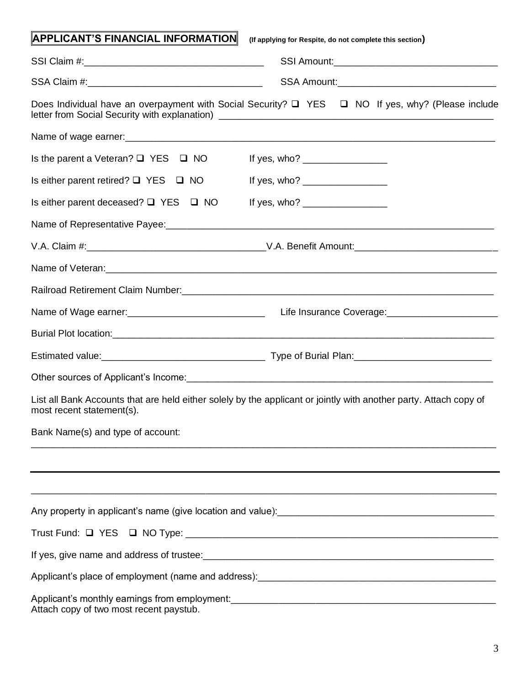| <b>APPLICANT'S FINANCIAL INFORMATION</b>        | (If applying for Respite, do not complete this section)                                                                                                                                                                                                                                                            |
|-------------------------------------------------|--------------------------------------------------------------------------------------------------------------------------------------------------------------------------------------------------------------------------------------------------------------------------------------------------------------------|
|                                                 |                                                                                                                                                                                                                                                                                                                    |
|                                                 |                                                                                                                                                                                                                                                                                                                    |
|                                                 | Does Individual have an overpayment with Social Security? $\Box$ YES $\Box$ NO If yes, why? (Please include                                                                                                                                                                                                        |
|                                                 |                                                                                                                                                                                                                                                                                                                    |
| Is the parent a Veteran? $\Box$ YES $\Box$ NO   | If yes, who? $\frac{1}{2}$ = $\frac{1}{2}$ = $\frac{1}{2}$ = $\frac{1}{2}$ = $\frac{1}{2}$ = $\frac{1}{2}$ = $\frac{1}{2}$ = $\frac{1}{2}$ = $\frac{1}{2}$ = $\frac{1}{2}$ = $\frac{1}{2}$ = $\frac{1}{2}$ = $\frac{1}{2}$ = $\frac{1}{2}$ = $\frac{1}{2}$ = $\frac{1}{2}$ = $\frac{1}{2}$ = $\frac{$              |
| Is either parent retired? $\Box$ YES $\Box$ NO  | If yes, who? $\frac{1}{2}$ = 0.000 m                                                                                                                                                                                                                                                                               |
| Is either parent deceased? $\Box$ YES $\Box$ NO | If yes, who? $\frac{1}{2}$ $\frac{1}{2}$ $\frac{1}{2}$ $\frac{1}{2}$ $\frac{1}{2}$ $\frac{1}{2}$ $\frac{1}{2}$ $\frac{1}{2}$ $\frac{1}{2}$ $\frac{1}{2}$ $\frac{1}{2}$ $\frac{1}{2}$ $\frac{1}{2}$ $\frac{1}{2}$ $\frac{1}{2}$ $\frac{1}{2}$ $\frac{1}{2}$ $\frac{1}{2}$ $\frac{1}{2}$ $\frac{1}{2}$ $\frac{1}{2}$ |
|                                                 |                                                                                                                                                                                                                                                                                                                    |
|                                                 |                                                                                                                                                                                                                                                                                                                    |
|                                                 |                                                                                                                                                                                                                                                                                                                    |
|                                                 |                                                                                                                                                                                                                                                                                                                    |
|                                                 |                                                                                                                                                                                                                                                                                                                    |
|                                                 |                                                                                                                                                                                                                                                                                                                    |
|                                                 |                                                                                                                                                                                                                                                                                                                    |
|                                                 |                                                                                                                                                                                                                                                                                                                    |
| most recent statement(s).                       | List all Bank Accounts that are held either solely by the applicant or jointly with another party. Attach copy of                                                                                                                                                                                                  |
| Bank Name(s) and type of account:               |                                                                                                                                                                                                                                                                                                                    |
|                                                 |                                                                                                                                                                                                                                                                                                                    |
|                                                 |                                                                                                                                                                                                                                                                                                                    |
|                                                 | Any property in applicant's name (give location and value):<br><u>Example 2008</u>                                                                                                                                                                                                                                 |
|                                                 |                                                                                                                                                                                                                                                                                                                    |
|                                                 | If yes, give name and address of trustee:<br>and the contract of the contract of trustee:                                                                                                                                                                                                                          |
|                                                 |                                                                                                                                                                                                                                                                                                                    |
| Attach copy of two most recent paystub.         |                                                                                                                                                                                                                                                                                                                    |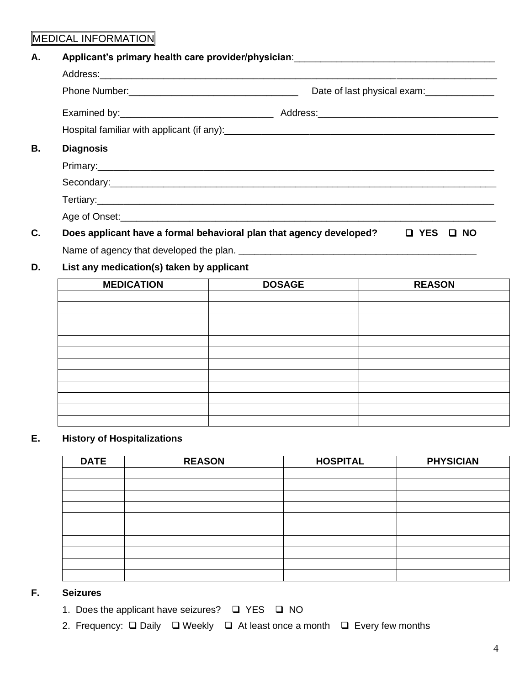## MEDICAL INFORMATION

| Α. | Applicant's primary health care provider/physician: _____________________________ |                                                                                                                                                                                                                                      |  |  |
|----|-----------------------------------------------------------------------------------|--------------------------------------------------------------------------------------------------------------------------------------------------------------------------------------------------------------------------------------|--|--|
|    |                                                                                   |                                                                                                                                                                                                                                      |  |  |
|    |                                                                                   | Date of last physical exam: _______________                                                                                                                                                                                          |  |  |
|    |                                                                                   |                                                                                                                                                                                                                                      |  |  |
|    |                                                                                   |                                                                                                                                                                                                                                      |  |  |
| В. | <b>Diagnosis</b>                                                                  |                                                                                                                                                                                                                                      |  |  |
|    |                                                                                   |                                                                                                                                                                                                                                      |  |  |
|    |                                                                                   | Secondary: <u>Commission Commission Commission Commission Commission Commission Commission Commission Commission Commission Commission Commission Commission Commission Commission Commission Commission Commission Commission C</u> |  |  |
|    |                                                                                   |                                                                                                                                                                                                                                      |  |  |
|    |                                                                                   |                                                                                                                                                                                                                                      |  |  |
| C. | Does applicant have a formal behavioral plan that agency developed?               | $\Box$ YES $\Box$ NO                                                                                                                                                                                                                 |  |  |
|    |                                                                                   |                                                                                                                                                                                                                                      |  |  |

### **D. List any medication(s) taken by applicant**

| <b>MEDICATION</b> | <b>DOSAGE</b> | <b>REASON</b> |
|-------------------|---------------|---------------|
|                   |               |               |
|                   |               |               |
|                   |               |               |
|                   |               |               |
|                   |               |               |
|                   |               |               |
|                   |               |               |
|                   |               |               |
|                   |               |               |
|                   |               |               |
|                   |               |               |
|                   |               |               |

#### **E. History of Hospitalizations**

| <b>DATE</b> | <b>REASON</b> | <b>HOSPITAL</b> | <b>PHYSICIAN</b> |
|-------------|---------------|-----------------|------------------|
|             |               |                 |                  |
|             |               |                 |                  |
|             |               |                 |                  |
|             |               |                 |                  |
|             |               |                 |                  |
|             |               |                 |                  |
|             |               |                 |                  |
|             |               |                 |                  |
|             |               |                 |                  |
|             |               |                 |                  |

#### **F. Seizures**

- 1. Does the applicant have seizures? ❑ YES ❑ NO
- 2. Frequency: ❑ Daily ❑ Weekly ❑ At least once a month ❑ Every few months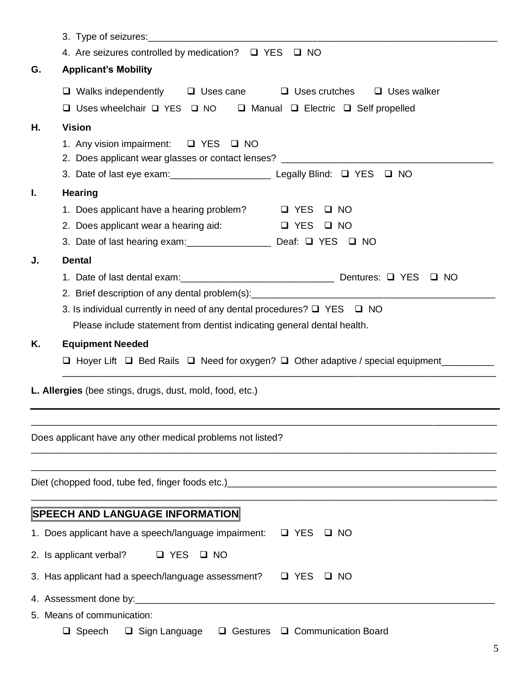|    | 3. Type of seizures: <u>contained a set of the set of the set of the set of the set of the set of the set of the set of the set of the set of the set of the set of the set of the set of the set of the set of the set of the s</u> |                                                     |
|----|--------------------------------------------------------------------------------------------------------------------------------------------------------------------------------------------------------------------------------------|-----------------------------------------------------|
|    | 4. Are seizures controlled by medication? $\Box$ YES $\Box$ NO                                                                                                                                                                       |                                                     |
| G. | <b>Applicant's Mobility</b>                                                                                                                                                                                                          |                                                     |
|    | $\Box$ Walks independently $\Box$ Uses cane $\Box$ Uses crutches $\Box$ Uses walker<br>$\Box$ Uses wheelchair $\Box$ YES $\Box$ NO                                                                                                   | $\Box$ Manual $\Box$ Electric $\Box$ Self propelled |
| Η. | <b>Vision</b>                                                                                                                                                                                                                        |                                                     |
|    | 1. Any vision impairment: □ YES □ NO<br>2. Does applicant wear glasses or contact lenses? ______________________________                                                                                                             |                                                     |
|    |                                                                                                                                                                                                                                      |                                                     |
| Ι. | <b>Hearing</b>                                                                                                                                                                                                                       |                                                     |
|    | 1. Does applicant have a hearing problem? $\Box$ YES                                                                                                                                                                                 | $\Box$ NO                                           |
|    | 2. Does applicant wear a hearing aid:                                                                                                                                                                                                | $\Box$ YES $\Box$ NO                                |
|    | 3. Date of last hearing exam: _________________ Deaf: Q YES Q NO                                                                                                                                                                     |                                                     |
| J. | <b>Dental</b>                                                                                                                                                                                                                        |                                                     |
|    |                                                                                                                                                                                                                                      |                                                     |
|    | 2. Brief description of any dental problem(s): __________________________________                                                                                                                                                    |                                                     |
|    | 3. Is individual currently in need of any dental procedures? $\Box$ YES $\Box$ NO                                                                                                                                                    |                                                     |
|    | Please include statement from dentist indicating general dental health.                                                                                                                                                              |                                                     |
| Κ. | <b>Equipment Needed</b>                                                                                                                                                                                                              |                                                     |
|    | $\Box$ Hoyer Lift $\Box$ Bed Rails $\Box$ Need for oxygen? $\Box$ Other adaptive / special equipment ______                                                                                                                          |                                                     |
|    |                                                                                                                                                                                                                                      |                                                     |
|    | L. Allergies (bee stings, drugs, dust, mold, food, etc.)                                                                                                                                                                             |                                                     |
|    |                                                                                                                                                                                                                                      |                                                     |
|    |                                                                                                                                                                                                                                      |                                                     |
|    | Does applicant have any other medical problems not listed?                                                                                                                                                                           |                                                     |
|    |                                                                                                                                                                                                                                      |                                                     |
|    |                                                                                                                                                                                                                                      |                                                     |
|    |                                                                                                                                                                                                                                      |                                                     |
|    | <b>SPEECH AND LANGUAGE INFORMATION</b>                                                                                                                                                                                               |                                                     |
|    | 1. Does applicant have a speech/language impairment:                                                                                                                                                                                 | $\Box$ YES<br>$\Box$ NO                             |
|    | 2. Is applicant verbal?<br><b>Q</b> YES<br>$\Box$ NO                                                                                                                                                                                 |                                                     |
|    | 3. Has applicant had a speech/language assessment?                                                                                                                                                                                   | <b>Q</b> YES<br>□ NO                                |
|    |                                                                                                                                                                                                                                      |                                                     |
|    | 5. Means of communication:                                                                                                                                                                                                           |                                                     |
|    | $\Box$ Sign Language<br>$\Box$ Gestures<br>$\Box$ Speech                                                                                                                                                                             | □ Communication Board                               |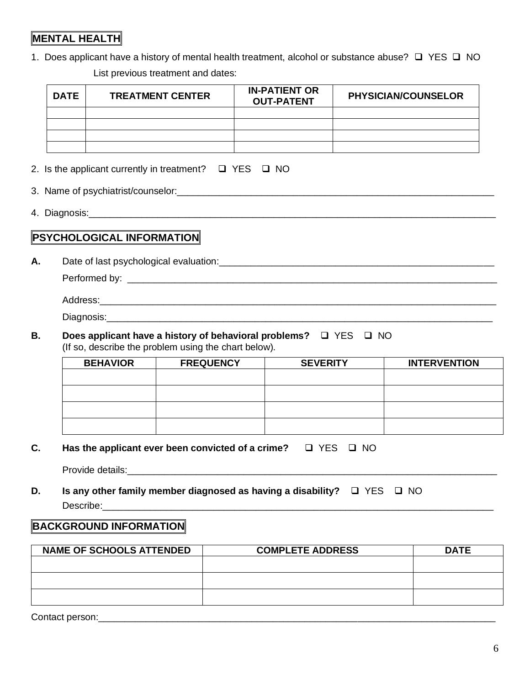## **MENTAL HEALTH**

1. Does applicant have a history of mental health treatment, alcohol or substance abuse? ❑ YES ❑ NO

List previous treatment and dates:

| <b>DATE</b> | <b>TREATMENT CENTER</b> | <b>IN-PATIENT OR</b><br><b>OUT-PATENT</b> | <b>PHYSICIAN/COUNSELOR</b> |
|-------------|-------------------------|-------------------------------------------|----------------------------|
|             |                         |                                           |                            |
|             |                         |                                           |                            |
|             |                         |                                           |                            |
|             |                         |                                           |                            |

- 2. Is the applicant currently in treatment? ❑ YES ❑ NO
- 3. Name of psychiatrist/counselor:\_\_\_\_\_\_\_\_\_\_\_\_\_\_\_\_\_\_\_\_\_\_\_\_\_\_\_\_\_\_\_\_\_\_\_\_\_\_\_\_\_\_\_\_\_\_\_\_\_\_\_\_\_\_\_\_\_\_\_\_
- 4. Diagnosis:\_\_\_\_\_\_\_\_\_\_\_\_\_\_\_\_\_\_\_\_\_\_\_\_\_\_\_\_\_\_\_\_\_\_\_\_\_\_\_\_\_\_\_\_\_\_\_\_\_\_\_\_\_\_\_\_\_\_\_\_\_\_\_\_\_\_\_\_\_\_\_\_\_\_\_\_\_

## **PSYCHOLOGICAL INFORMATION**

**A.** Date of last psychological evaluation:\_\_\_\_\_\_\_\_\_\_\_\_\_\_\_\_\_\_\_\_\_\_\_\_\_\_\_\_\_\_\_\_\_\_\_\_\_\_\_\_\_\_\_\_\_\_\_\_\_\_\_\_

Performed by: \_\_\_\_\_\_\_\_\_\_\_\_\_\_\_\_\_\_\_\_\_\_\_\_\_\_\_\_\_\_\_\_\_\_\_\_\_\_\_\_\_\_\_\_\_\_\_\_\_\_\_\_\_\_\_\_\_\_\_\_\_\_\_\_\_\_\_\_\_\_

| Address:   |  |  |
|------------|--|--|
| Diagnosis: |  |  |

**B. Does applicant have a history of behavioral problems?** ❑ YES ❑ NO (If so, describe the problem using the chart below).

| <b>BEHAVIOR</b> | <b>FREQUENCY</b> | <b>SEVERITY</b> | <b>INTERVENTION</b> |
|-----------------|------------------|-----------------|---------------------|
|                 |                  |                 |                     |
|                 |                  |                 |                     |
|                 |                  |                 |                     |
|                 |                  |                 |                     |
|                 |                  |                 |                     |

**C. Has the applicant ever been convicted of a crime?** ❑ YES ❑ NO

Provide details:

**D. Is any other family member diagnosed as having a disability?** ❑ YES ❑ NO Describe:\_\_\_\_\_\_\_\_\_\_\_\_\_\_\_\_\_\_\_\_\_\_\_\_\_\_\_\_\_\_\_\_\_\_\_\_\_\_\_\_\_\_\_\_\_\_\_\_\_\_\_\_\_\_\_\_\_\_\_\_\_\_\_\_\_\_\_\_\_\_\_\_\_\_

### **BACKGROUND INFORMATION**

| <b>NAME OF SCHOOLS ATTENDED</b> | <b>COMPLETE ADDRESS</b> | <b>DATE</b> |
|---------------------------------|-------------------------|-------------|
|                                 |                         |             |
|                                 |                         |             |
|                                 |                         |             |
|                                 |                         |             |
|                                 |                         |             |

Contact person:\_\_\_\_\_\_\_\_\_\_\_\_\_\_\_\_\_\_\_\_\_\_\_\_\_\_\_\_\_\_\_\_\_\_\_\_\_\_\_\_\_\_\_\_\_\_\_\_\_\_\_\_\_\_\_\_\_\_\_\_\_\_\_\_\_\_\_\_\_\_\_\_\_\_\_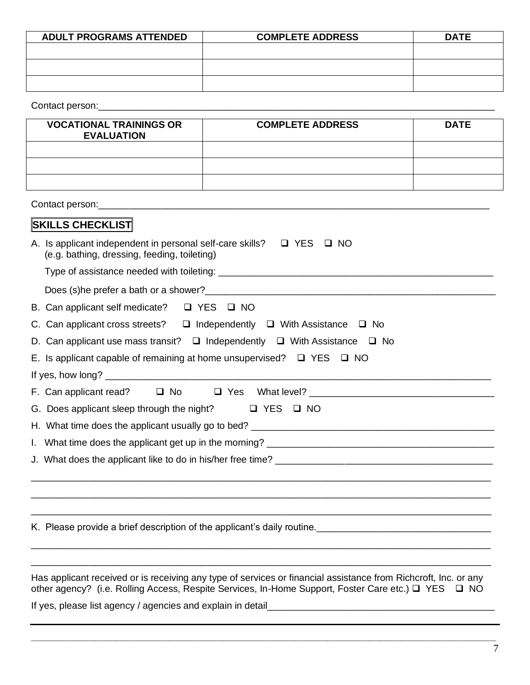| <b>ADULT PROGRAMS ATTENDED</b> | <b>COMPLETE ADDRESS</b> | <b>DATE</b> |
|--------------------------------|-------------------------|-------------|
|                                |                         |             |
|                                |                         |             |
|                                |                         |             |
|                                |                         |             |

Contact person:\_\_\_\_\_\_\_\_\_\_\_\_\_\_\_\_\_\_\_\_\_\_\_\_\_\_\_\_\_\_\_\_\_\_\_\_\_\_\_\_\_\_\_\_\_\_\_\_\_\_\_\_\_\_\_\_\_\_\_\_\_\_\_\_\_\_\_\_\_\_\_\_\_\_\_

| <b>VOCATIONAL TRAININGS OR</b><br><b>EVALUATION</b> | <b>COMPLETE ADDRESS</b> | <b>DATE</b> |
|-----------------------------------------------------|-------------------------|-------------|
|                                                     |                         |             |
|                                                     |                         |             |
|                                                     |                         |             |

| <b>SKILLS CHECKLIST</b>                                                                                                        |  |  |
|--------------------------------------------------------------------------------------------------------------------------------|--|--|
| A. Is applicant independent in personal self-care skills? $\Box$ YES $\Box$ NO<br>(e.g. bathing, dressing, feeding, toileting) |  |  |
|                                                                                                                                |  |  |
|                                                                                                                                |  |  |
| B. Can applicant self medicate? $\Box$ YES $\Box$ NO                                                                           |  |  |
| C. Can applicant cross streets? $\Box$ Independently $\Box$ With Assistance $\Box$ No                                          |  |  |
| D. Can applicant use mass transit? $\Box$ Independently $\Box$ With Assistance $\Box$ No                                       |  |  |
| E. Is applicant capable of remaining at home unsupervised? $\Box$ YES $\Box$ NO                                                |  |  |
|                                                                                                                                |  |  |
|                                                                                                                                |  |  |
| G. Does applicant sleep through the night? $\Box$ YES $\Box$ NO                                                                |  |  |
|                                                                                                                                |  |  |
|                                                                                                                                |  |  |
|                                                                                                                                |  |  |
|                                                                                                                                |  |  |
| <u> 1989 - Johann Stoff, deutscher Stoff, der Stoff, der Stoff, der Stoff, der Stoff, der Stoff, der Stoff, der S</u>          |  |  |
|                                                                                                                                |  |  |
| K. Please provide a brief description of the applicant's daily routine.<br><u>Example 2008</u>                                 |  |  |
|                                                                                                                                |  |  |
|                                                                                                                                |  |  |

Has applicant received or is receiving any type of services or financial assistance from Richcroft, Inc. or any other agency? (i.e. Rolling Access, Respite Services, In-Home Support, Foster Care etc.) ❑ YES ❑ NO

**\_\_\_\_\_\_\_\_\_\_\_\_\_\_\_\_\_\_\_\_\_\_\_\_\_\_\_\_\_\_\_\_\_\_\_\_\_\_\_\_\_\_\_\_\_\_\_\_\_\_\_\_\_\_\_\_\_\_\_\_\_\_\_\_\_\_\_\_\_\_\_\_\_\_\_\_\_\_\_\_\_\_\_\_\_\_\_\_**

If yes, please list agency / agencies and explain in detail\_\_\_\_\_\_\_\_\_\_\_\_\_\_\_\_\_\_\_\_\_\_\_\_\_\_\_\_\_\_\_\_\_\_\_\_\_\_\_\_\_\_\_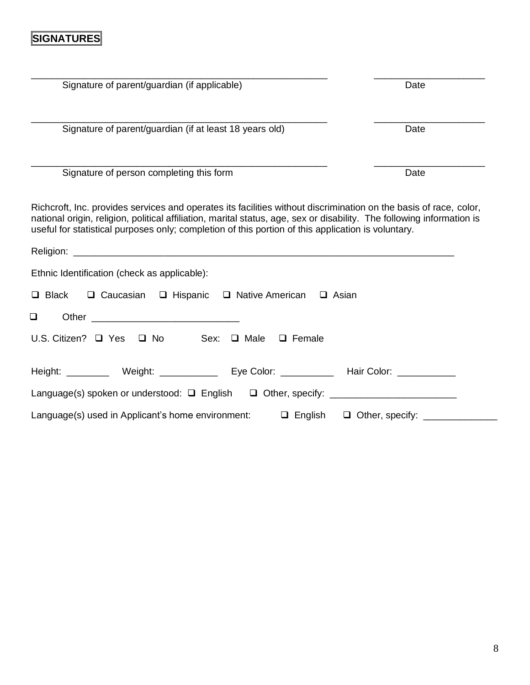## **SIGNATURES**

| Signature of parent/guardian (if applicable)                                                                                                                                                                                                                                                                                                      | Date                                         |
|---------------------------------------------------------------------------------------------------------------------------------------------------------------------------------------------------------------------------------------------------------------------------------------------------------------------------------------------------|----------------------------------------------|
| Signature of parent/guardian (if at least 18 years old)                                                                                                                                                                                                                                                                                           | Date                                         |
| Signature of person completing this form                                                                                                                                                                                                                                                                                                          | Date                                         |
| Richcroft, Inc. provides services and operates its facilities without discrimination on the basis of race, color,<br>national origin, religion, political affiliation, marital status, age, sex or disability. The following information is<br>useful for statistical purposes only; completion of this portion of this application is voluntary. |                                              |
|                                                                                                                                                                                                                                                                                                                                                   |                                              |
| Ethnic Identification (check as applicable):                                                                                                                                                                                                                                                                                                      |                                              |
| □ Black □ Caucasian □ Hispanic □ Native American □ Asian                                                                                                                                                                                                                                                                                          |                                              |
| ❏                                                                                                                                                                                                                                                                                                                                                 |                                              |
| U.S. Citizen? $\Box$ Yes $\Box$ No<br>Sex: $\Box$ Male $\Box$ Female                                                                                                                                                                                                                                                                              |                                              |
| Height: __________ Weight: _______________________Eye Color: ____________________ Hair Color: _______________                                                                                                                                                                                                                                     |                                              |
| Language(s) spoken or understood: □ English □ Other, specify: __________________                                                                                                                                                                                                                                                                  |                                              |
| Language(s) used in Applicant's home environment:                                                                                                                                                                                                                                                                                                 | $\Box$ English $\Box$ Other, specify: ______ |